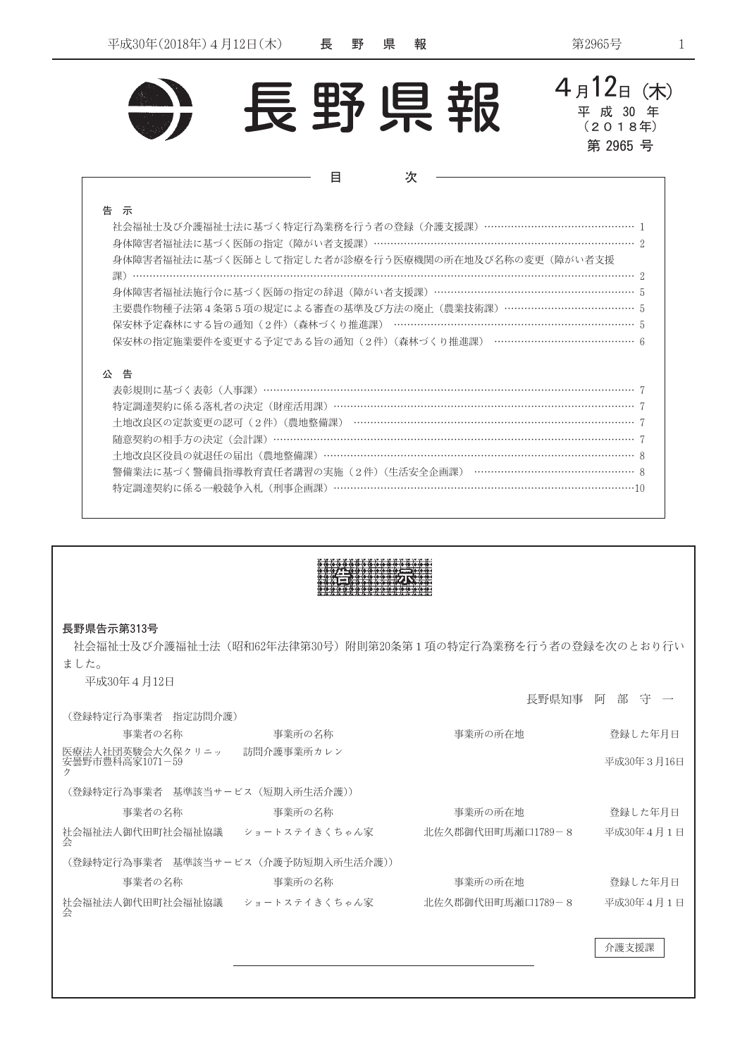



| __ |
|----|
| I  |
|    |

| 社会福祉士及び介護福祉士法に基づく特定行為業務を行う者の登録(介護支援課)……………………………………… 1    |
|-----------------------------------------------------------|
| 身体障害者福祉法に基づく医師の指定(障がい者支援課)…………………………………………………………………………… 2 |
| 身体障害者福祉法に基づく医師として指定した者が診療を行う医療機関の所在地及び名称の変更(障がい者支援        |
|                                                           |
| 身体障害者福祉法施行令に基づく医師の指定の辞退(障がい者支援課)……………………………………………………… 5   |
| 主要農作物種子法第4条第5項の規定による審査の基準及び方法の廃止(農業技術課)………………………………… 5    |
| 保安林予定森林にする旨の通知(2件)(森林づくり推進課) ……………………………………………………………… 5   |
| 保安林の指定施業要件を変更する予定である旨の通知(2件)(森林づくり推進課) …………………………………… 6   |
|                                                           |

## 公告

| 特定調達契約に係る落札者の決定(財産活用課)……………………………………………………………………………… 7    |  |
|-----------------------------------------------------------|--|
| 十地改良区の定款変更の認可(2件)(農地整備課) ………………………………………………………………………… 7   |  |
|                                                           |  |
| 土地改良区役員の就退任の届出(農地整備課)…………………………………………………………………………………… 8   |  |
| 警備業法に基づく警備員指導教育責任者講習の実施 (2件) (生活安全企画課) ………………………………………… 8 |  |
| 特定調達契約に係る一般競争入札(刑事企画課)………………………………………………………………………………10    |  |
|                                                           |  |

| 長野県告示第313号<br>ました。                               |        | 社会福祉十及び介護福祉十法(昭和62年法律第30号)附則第20条第1項の特定行為業務を行う者の登録を次のとおり行い |            |  |  |  |
|--------------------------------------------------|--------|-----------------------------------------------------------|------------|--|--|--|
| 平成30年4月12日<br>(登録特定行為事業者 指定訪問介護)                 |        | 長野県知事                                                     | 阿<br>部 守   |  |  |  |
| 事業者の名称                                           | 事業所の名称 | 事業所の所在地                                                   | 登録した年月日    |  |  |  |
| 医療法人社団英駿会大久保クリニッ   訪問介護事業所カレン<br>安曇野市豊科高家1071-59 |        |                                                           | 平成30年3月16日 |  |  |  |
| (登録特定行為事業者 基準該当サービス(短期入所生活介護))                   |        |                                                           |            |  |  |  |
| 事業者の名称                                           | 事業所の名称 | 事業所の所在地                                                   | 登録した年月日    |  |  |  |
| 社会福祉法人御代田町社会福祉協議――ショートステイきくちゃん家<br>会             |        | 北佐久郡御代田町馬瀬口1789-8                                         | 平成30年4月1日  |  |  |  |
| (登録特定行為事業者 基準該当サービス (介護予防短期入所生活介護))              |        |                                                           |            |  |  |  |
| 事業者の名称                                           | 事業所の名称 | 事業所の所在地                                                   | 登録した年月日    |  |  |  |
| 社会福祉法人御代田町社会福祉協議 ショートステイきくちゃん家                   |        | 北佐久郡御代田町馬瀬口1789-8                                         | 平成30年4月1日  |  |  |  |
|                                                  |        |                                                           | 介護支援課      |  |  |  |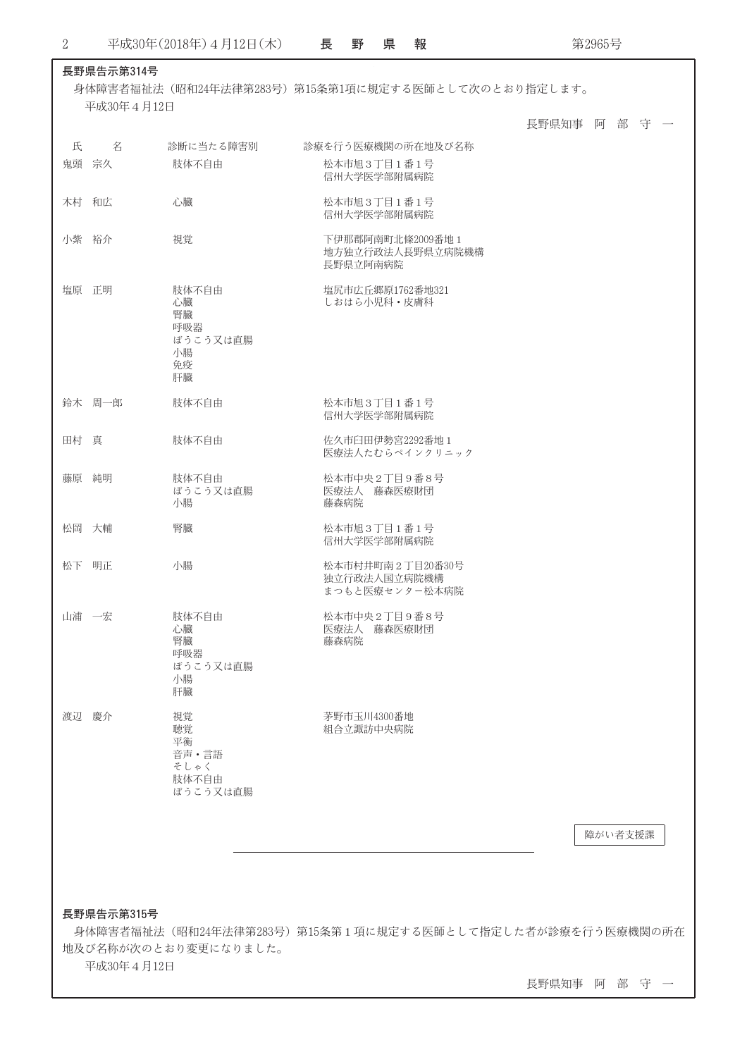r

第2965号

|   |            |                                                        |                                                    | 長野県知事 阿 部 守 一 |
|---|------------|--------------------------------------------------------|----------------------------------------------------|---------------|
| 氏 | 名          | 診断に当たる障害別                                              | 診療を行う医療機関の所在地及び名称                                  |               |
|   | 鬼頭 宗久      | 肢体不自由                                                  | 松本市旭3丁目1番1号<br>信州大学医学部附属病院                         |               |
|   | 木村 和広      | 心臓                                                     | 松本市旭3丁目1番1号<br>信州大学医学部附属病院                         |               |
|   | 小紫 裕介      | 視覚                                                     | 下伊那郡阿南町北條2009番地1<br>地方独立行政法人長野県立病院機構<br>長野県立阿南病院   |               |
|   | 塩原 正明      | 肢体不自由<br>心臓<br>腎臓<br>呼吸器<br>ぼうこう又は直腸<br>小腸<br>免疫<br>肝臓 | 塩尻市広丘郷原1762番地321<br>しおはら小児科・皮膚科                    |               |
|   | 鈴木 周一郎     | 肢体不自由                                                  | 松本市旭3丁目1番1号<br>信州大学医学部附属病院                         |               |
|   | 田村 真       | 肢体不自由                                                  | 佐久市臼田伊勢宮2292番地1<br>医療法人たむらペインクリニック                 |               |
|   | 藤原 純明      | 肢体不自由<br>ぼうこう又は直腸<br>小腸                                | 松本市中央2丁目9番8号<br>医療法人 藤森医療財団<br>藤森病院                |               |
|   | 松岡 大輔      | 腎臓                                                     | 松本市旭3丁目1番1号<br>信州大学医学部附属病院                         |               |
|   | 松下 明正      | 小腸                                                     | 松本市村井町南2丁目20番30号<br>独立行政法人国立病院機構<br>まつもと医療センター松本病院 |               |
|   | 山浦 一宏      | 肢体不自由<br>心臓<br>腎臓<br>呼吸器<br>ぼうこう又は直腸<br>小腸<br>肝臓       | 松本市中央2丁目9番8号<br>医療法人 藤森医療財団<br>藤森病院                |               |
|   | 渡辺 慶介      | 視覚<br>聴覚<br>平衡<br>音声 • 言語<br>そしゃく<br>肢体不自由<br>ぼうこう又は直腸 | 茅野市玉川4300番地<br>組合立諏訪中央病院                           |               |
|   |            |                                                        |                                                    | 障がい者支援課       |
|   |            |                                                        |                                                    |               |
|   | 長野県告示第315号 |                                                        |                                                    |               |

長野県知事 阿 部 守 一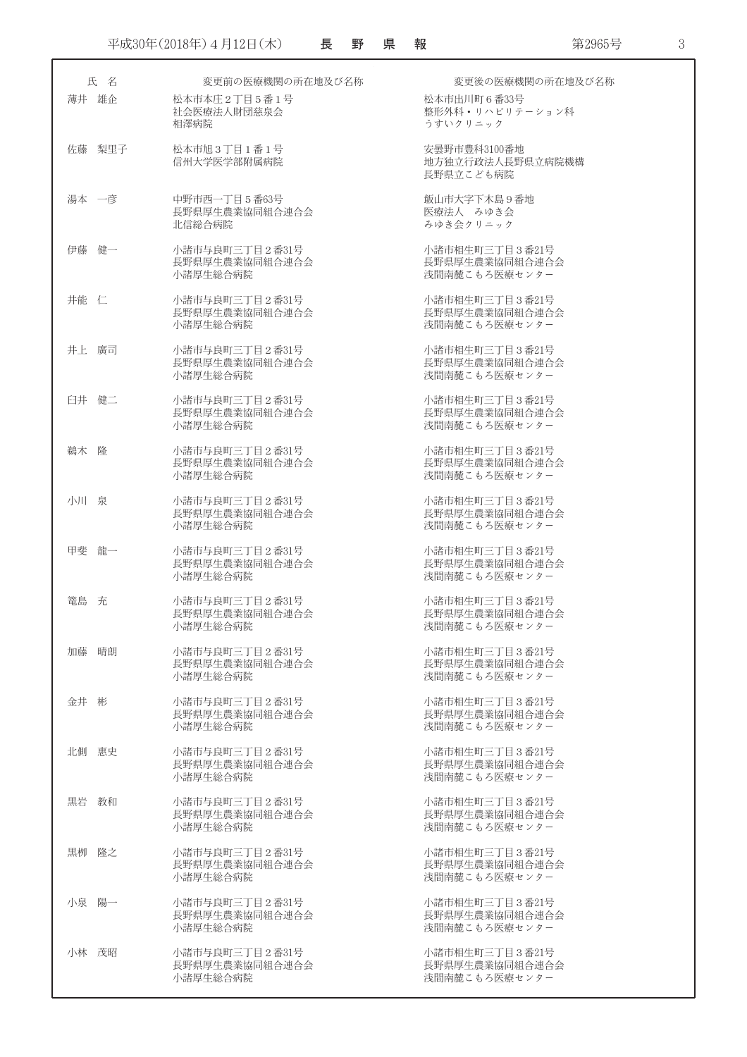|       | 氏 名    | 変更前の医療機関の所在地及び名称                             | 変更後の医療機関の所在地及び名称                                  |
|-------|--------|----------------------------------------------|---------------------------------------------------|
| 薄井 雄企 |        | 松本市本庄2丁目5番1号<br>社会医療法人財団慈泉会<br>相澤病院          | 松本市出川町6番33号<br>整形外科・リハビリテーション科<br>うすいクリニック        |
|       | 佐藤 梨里子 | 松本市旭3丁目1番1号<br>信州大学医学部附属病院                   | 安曇野市豊科3100番地<br>地方独立行政法人長野県立病院機構<br>長野県立こども病院     |
| 湯本 一彦 |        | 中野市西一丁目5番63号<br>長野県厚生農業協同組合連合会<br>北信総合病院     | 飯山市大字下木島9番地<br>医療法人 みゆき会<br>みゆき会クリニック             |
| 伊藤 健一 |        | 小諸市与良町三丁目2番31号<br>長野県厚生農業協同組合連合会<br>小諸厚生総合病院 | 小諸市相生町三丁目3番21号<br>長野県厚生農業協同組合連合会<br>浅間南麓こもろ医療センター |
| 井能 仁  |        | 小諸市与良町三丁目2番31号<br>長野県厚生農業協同組合連合会<br>小諸厚牛総合病院 | 小諸市相生町三丁目3番21号<br>長野県厚生農業協同組合連合会<br>浅間南麓こもろ医療センター |
| 井上 廣司 |        | 小諸市与良町三丁目2番31号<br>長野県厚生農業協同組合連合会<br>小諸厚生総合病院 | 小諸市相生町三丁目3番21号<br>長野県厚生農業協同組合連合会<br>浅間南麓こもろ医療センター |
| 臼井 健二 |        | 小諸市与良町三丁目2番31号<br>長野県厚生農業協同組合連合会<br>小諸厚生総合病院 | 小諸市相生町三丁目3番21号<br>長野県厚生農業協同組合連合会<br>浅間南麓こもろ医療センター |
| 鵜木 降  |        | 小諸市与良町三丁目2番31号<br>長野県厚生農業協同組合連合会<br>小諸厚生総合病院 | 小諸市相生町三丁目3番21号<br>長野県厚生農業協同組合連合会<br>浅間南麓こもろ医療センター |
| 小川泉   |        | 小諸市与良町三丁目2番31号<br>長野県厚生農業協同組合連合会<br>小諸厚生総合病院 | 小諸市相生町三丁目3番21号<br>長野県厚生農業協同組合連合会<br>浅間南麓こもろ医療センター |
| 甲斐 龍一 |        | 小諸市与良町三丁目2番31号<br>長野県厚生農業協同組合連合会<br>小諸厚生総合病院 | 小諸市相生町三丁目3番21号<br>長野県厚生農業協同組合連合会<br>浅間南麓こもろ医療センター |
| 篭島 充  |        | 小諸市与良町三丁目2番31号<br>長野県厚生農業協同組合連合会<br>小諸厚生総合病院 | 小諸市相生町三丁目3番21号<br>長野県厚生農業協同組合連合会<br>浅間南麓こもろ医療センター |
| 加藤    | 晴朗     | 小諸市与良町三丁目2番31号<br>長野県厚生農業協同組合連合会<br>小諸厚生総合病院 | 小諸市相生町三丁目3番21号<br>長野県厚生農業協同組合連合会<br>浅間南麓こもろ医療センター |
| 金井 彬  |        | 小諸市与良町三丁目2番31号<br>長野県厚生農業協同組合連合会<br>小諸厚生総合病院 | 小諸市相生町三丁目3番21号<br>長野県厚生農業協同組合連合会<br>浅間南麓こもろ医療センター |
| 北側 惠史 |        | 小諸市与良町三丁目2番31号<br>長野県厚生農業協同組合連合会<br>小諸厚生総合病院 | 小諸市相生町三丁目3番21号<br>長野県厚生農業協同組合連合会<br>浅間南麓こもろ医療センター |
| 黒岩 教和 |        | 小諸市与良町三丁目2番31号<br>長野県厚生農業協同組合連合会<br>小諸厚生総合病院 | 小諸市相生町三丁目3番21号<br>長野県厚生農業協同組合連合会<br>浅間南麓こもろ医療センター |
| 黒栁 隆之 |        | 小諸市与良町三丁目2番31号<br>長野県厚生農業協同組合連合会<br>小諸厚生総合病院 | 小諸市相生町三丁目3番21号<br>長野県厚生農業協同組合連合会<br>浅間南麓こもろ医療センター |
| 小泉 陽一 |        | 小諸市与良町三丁目2番31号<br>長野県厚生農業協同組合連合会<br>小諸厚生総合病院 | 小諸市相生町三丁目3番21号<br>長野県厚生農業協同組合連合会<br>浅間南麓こもろ医療センター |
| 小林 茂昭 |        | 小諸市与良町三丁目2番31号<br>長野県厚生農業協同組合連合会<br>小諸厚生総合病院 | 小諸市相生町三丁目3番21号<br>長野県厚生農業協同組合連合会<br>浅間南麓こもろ医療センター |

第2965号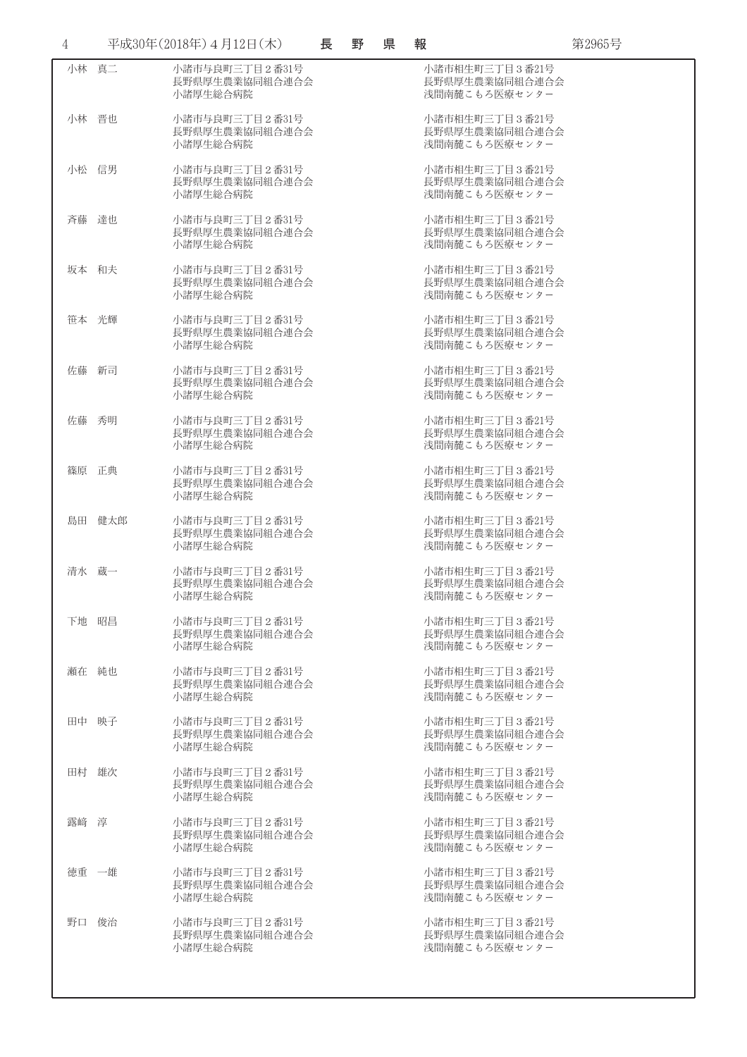| $\overline{4}$ |        | 平成30年(2018年) 4月12日(木)                        | 長 | 野 | 県 | 報                                                 | 第2965号 |
|----------------|--------|----------------------------------------------|---|---|---|---------------------------------------------------|--------|
| 小林 真二          |        | 小諸市与良町三丁目2番31号<br>長野県厚生農業協同組合連合会<br>小諸厚生総合病院 |   |   |   | 小諸市相生町三丁目3番21号<br>長野県厚生農業協同組合連合会<br>浅間南麓こもろ医療センター |        |
| 小林 晋也          |        | 小諸市与良町三丁目2番31号<br>長野県厚生農業協同組合連合会<br>小諸厚生総合病院 |   |   |   | 小諸市相生町三丁目3番21号<br>長野県厚生農業協同組合連合会<br>浅間南麓こもろ医療センター |        |
| 小松 信男          |        | 小諸市与良町三丁目2番31号<br>長野県厚生農業協同組合連合会<br>小諸厚生総合病院 |   |   |   | 小諸市相生町三丁目3番21号<br>長野県厚生農業協同組合連合会<br>浅間南麓こもろ医療センター |        |
| 斉藤 達也          |        | 小諸市与良町三丁目2番31号<br>長野県厚生農業協同組合連合会<br>小諸厚生総合病院 |   |   |   | 小諸市相生町三丁目3番21号<br>長野県厚生農業協同組合連合会<br>浅間南麓こもろ医療センター |        |
| 坂本 和夫          |        | 小諸市与良町三丁目2番31号<br>長野県厚生農業協同組合連合会<br>小諸厚生総合病院 |   |   |   | 小諸市相生町三丁目3番21号<br>長野県厚生農業協同組合連合会<br>浅間南麓こもろ医療センター |        |
| 笹本 光輝          |        | 小諸市与良町三丁目2番31号<br>長野県厚生農業協同組合連合会<br>小諸厚生総合病院 |   |   |   | 小諸市相生町三丁目3番21号<br>長野県厚生農業協同組合連合会<br>浅間南麓こもろ医療センター |        |
| 佐藤             | 新司     | 小諸市与良町三丁目2番31号<br>長野県厚生農業協同組合連合会<br>小諸厚生総合病院 |   |   |   | 小諸市相生町三丁目3番21号<br>長野県厚生農業協同組合連合会<br>浅間南麓こもろ医療センター |        |
| 佐藤 秀明          |        | 小諸市与良町三丁目2番31号<br>長野県厚生農業協同組合連合会<br>小諸厚生総合病院 |   |   |   | 小諸市相生町三丁目3番21号<br>長野県厚生農業協同組合連合会<br>浅間南麓こもろ医療センター |        |
| 篠原 正典          |        | 小諸市与良町三丁目2番31号<br>長野県厚生農業協同組合連合会<br>小諸厚生総合病院 |   |   |   | 小諸市相生町三丁目3番21号<br>長野県厚生農業協同組合連合会<br>浅間南麓こもろ医療センター |        |
|                | 島田 健太郎 | 小諸市与良町三丁目2番31号<br>長野県厚生農業協同組合連合会<br>小諸厚生総合病院 |   |   |   | 小諸市相生町三丁目3番21号<br>長野県厚生農業協同組合連合会<br>浅間南麓こもろ医療センター |        |
| 清水 蔵一          |        | 小諸市与良町三丁目2番31号<br>長野県厚生農業協同組合連合会<br>小諸厚生総合病院 |   |   |   | 小諸市相生町三丁目3番21号<br>長野県厚生農業協同組合連合会<br>浅間南麓こもろ医療センター |        |
| 下地 昭昌          |        | 小諸市与良町三丁目2番31号<br>長野県厚生農業協同組合連合会<br>小諸厚生総合病院 |   |   |   | 小諸市相生町三丁目3番21号<br>長野県厚生農業協同組合連合会<br>浅間南麓こもろ医療センター |        |
| 瀬在 純也          |        | 小諸市与良町三丁目2番31号<br>長野県厚生農業協同組合連合会<br>小諸厚生総合病院 |   |   |   | 小諸市相生町三丁目3番21号<br>長野県厚生農業協同組合連合会<br>浅間南麓こもろ医療センター |        |
| 田中 映子          |        | 小諸市与良町三丁目2番31号<br>長野県厚生農業協同組合連合会<br>小諸厚生総合病院 |   |   |   | 小諸市相生町三丁目3番21号<br>長野県厚生農業協同組合連合会<br>浅間南麓こもろ医療センター |        |
| 田村 雄次          |        | 小諸市与良町三丁目2番31号<br>長野県厚生農業協同組合連合会<br>小諸厚生総合病院 |   |   |   | 小諸市相生町三丁目3番21号<br>長野県厚生農業協同組合連合会<br>浅間南麓こもろ医療センター |        |
| 露崎 淳           |        | 小諸市与良町三丁目2番31号<br>長野県厚生農業協同組合連合会<br>小諸厚生総合病院 |   |   |   | 小諸市相生町三丁目3番21号<br>長野県厚生農業協同組合連合会<br>浅間南麓こもろ医療センター |        |
| 徳重 一雄          |        | 小諸市与良町三丁目2番31号<br>長野県厚生農業協同組合連合会<br>小諸厚生総合病院 |   |   |   | 小諸市相生町三丁目3番21号<br>長野県厚生農業協同組合連合会<br>浅間南麓こもろ医療センター |        |
| 野口 俊治          |        | 小諸市与良町三丁目2番31号<br>長野県厚生農業協同組合連合会<br>小諸厚生総合病院 |   |   |   | 小諸市相生町三丁目3番21号<br>長野県厚生農業協同組合連合会<br>浅間南麓こもろ医療センター |        |
|                |        |                                              |   |   |   |                                                   |        |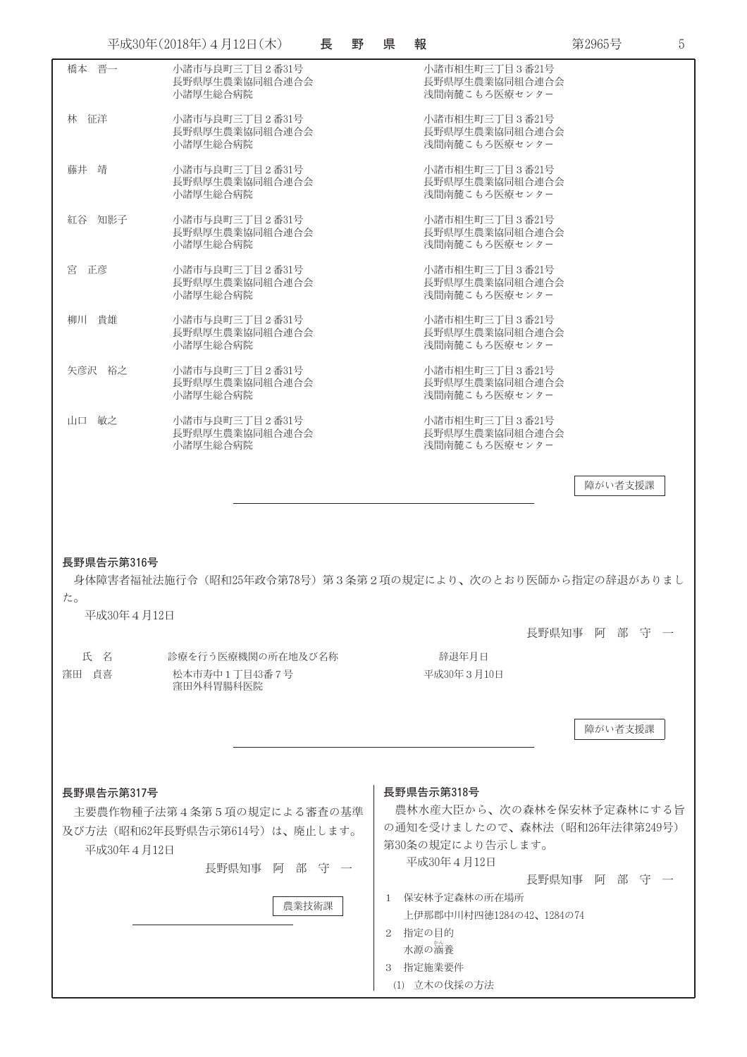| 橋本 晋一<br>小諸市与良町三丁目2番31号<br>小諸市相生町三丁目3番21号<br>長野県厚生農業協同組合連合会<br>長野県厚生農業協同組合連合会<br>小諸厚生総合病院<br>浅間南麓こもろ医療センター<br>林 征洋<br>小諸市与良町三丁目2番31号<br>小諸市相生町三丁目3番21号<br>長野県厚生農業協同組合連合会<br>長野県厚生農業協同組合連合会<br>小諸厚生総合病院<br>浅間南麓こもろ医療センター<br>藤井 靖<br>小諸市与良町三丁目2番31号<br>小諸市相生町三丁目3番21号<br>長野県厚生農業協同組合連合会<br>長野県厚生農業協同組合連合会<br>小諸厚生総合病院<br>浅間南麓こもろ医療センター<br>紅谷 知影子<br>小諸市相生町三丁目3番21号<br>小諸市与良町三丁目2番31号<br>長野県厚生農業協同組合連合会<br>長野県厚生農業協同組合連合会<br>小諸厚生総合病院<br>浅間南麓こもろ医療センター<br>宮 正彦<br>小諸市与良町三丁目2番31号<br>小諸市相生町三丁目3番21号<br>長野県厚生農業協同組合連合会<br>長野県厚生農業協同組合連合会<br>小諸厚生総合病院<br>浅間南麓こもろ医療センター<br>柳川 貴雄<br>小諸市与良町三丁目2番31号<br>小諸市相生町三丁目3番21号<br>長野県厚生農業協同組合連合会<br>長野県厚生農業協同組合連合会<br>小諸厚生総合病院<br>浅間南麓こもろ医療センター<br>矢彦沢 裕之<br>小諸市与良町三丁目2番31号<br>小諸市相生町三丁目3番21号<br>長野県厚牛農業協同組合連合会<br>長野県厚生農業協同組合連合会<br>小諸厚生総合病院<br>浅間南麓こもろ医療センター<br>小諸市相生町三丁目3番21号<br>山口 敏之<br>小諸市与良町三丁目2番31号<br>長野県厚生農業協同組合連合会<br>長野県厚生農業協同組合連合会<br>小諸厚生総合病院<br>浅間南麓こもろ医療センター<br>障がい者支援課<br>長野県告示第316号<br>身体障害者福祉法施行令(昭和25年政令第78号)第3条第2項の規定により、次のとおり医師から指定の辞退がありまし<br>た。<br>平成30年4月12日<br>長野県知事 阿 部 守<br>氏 名<br>診療を行う医療機関の所在地及び名称<br>辞退年月日<br>窪田 自喜<br>松本市寿中1丁目43番7号<br>平成30年3月10日<br>窪田外科胃腸科医院<br>障がい者支援課<br>長野県告示第318号<br>長野県告示第317号<br>農林水産大臣から、次の森林を保安林予定森林にする旨<br>主要農作物種子法第4条第5項の規定による審査の基準<br>の通知を受けましたので、森林法(昭和26年法律第249号)<br>及び方法(昭和62年長野県告示第614号)は、廃止します。 |  | 平成30年(2018年) 4月12日(木) | 長 | 野 | 県 | 報 | 第2965号 | 5 |
|--------------------------------------------------------------------------------------------------------------------------------------------------------------------------------------------------------------------------------------------------------------------------------------------------------------------------------------------------------------------------------------------------------------------------------------------------------------------------------------------------------------------------------------------------------------------------------------------------------------------------------------------------------------------------------------------------------------------------------------------------------------------------------------------------------------------------------------------------------------------------------------------------------------------------------------------------------------------------------------------------------------------------------------------------------------------------------------------------------------------------------------------------------------------------------------------------------------------------------------------------------------------------------------------------|--|-----------------------|---|---|---|---|--------|---|
|                                                                                                                                                                                                                                                                                                                                                                                                                                                                                                                                                                                                                                                                                                                                                                                                                                                                                                                                                                                                                                                                                                                                                                                                                                                                                                  |  |                       |   |   |   |   |        |   |
|                                                                                                                                                                                                                                                                                                                                                                                                                                                                                                                                                                                                                                                                                                                                                                                                                                                                                                                                                                                                                                                                                                                                                                                                                                                                                                  |  |                       |   |   |   |   |        |   |
|                                                                                                                                                                                                                                                                                                                                                                                                                                                                                                                                                                                                                                                                                                                                                                                                                                                                                                                                                                                                                                                                                                                                                                                                                                                                                                  |  |                       |   |   |   |   |        |   |
|                                                                                                                                                                                                                                                                                                                                                                                                                                                                                                                                                                                                                                                                                                                                                                                                                                                                                                                                                                                                                                                                                                                                                                                                                                                                                                  |  |                       |   |   |   |   |        |   |
|                                                                                                                                                                                                                                                                                                                                                                                                                                                                                                                                                                                                                                                                                                                                                                                                                                                                                                                                                                                                                                                                                                                                                                                                                                                                                                  |  |                       |   |   |   |   |        |   |
|                                                                                                                                                                                                                                                                                                                                                                                                                                                                                                                                                                                                                                                                                                                                                                                                                                                                                                                                                                                                                                                                                                                                                                                                                                                                                                  |  |                       |   |   |   |   |        |   |
|                                                                                                                                                                                                                                                                                                                                                                                                                                                                                                                                                                                                                                                                                                                                                                                                                                                                                                                                                                                                                                                                                                                                                                                                                                                                                                  |  |                       |   |   |   |   |        |   |
|                                                                                                                                                                                                                                                                                                                                                                                                                                                                                                                                                                                                                                                                                                                                                                                                                                                                                                                                                                                                                                                                                                                                                                                                                                                                                                  |  |                       |   |   |   |   |        |   |
|                                                                                                                                                                                                                                                                                                                                                                                                                                                                                                                                                                                                                                                                                                                                                                                                                                                                                                                                                                                                                                                                                                                                                                                                                                                                                                  |  |                       |   |   |   |   |        |   |
|                                                                                                                                                                                                                                                                                                                                                                                                                                                                                                                                                                                                                                                                                                                                                                                                                                                                                                                                                                                                                                                                                                                                                                                                                                                                                                  |  |                       |   |   |   |   |        |   |
|                                                                                                                                                                                                                                                                                                                                                                                                                                                                                                                                                                                                                                                                                                                                                                                                                                                                                                                                                                                                                                                                                                                                                                                                                                                                                                  |  |                       |   |   |   |   |        |   |
|                                                                                                                                                                                                                                                                                                                                                                                                                                                                                                                                                                                                                                                                                                                                                                                                                                                                                                                                                                                                                                                                                                                                                                                                                                                                                                  |  |                       |   |   |   |   |        |   |
|                                                                                                                                                                                                                                                                                                                                                                                                                                                                                                                                                                                                                                                                                                                                                                                                                                                                                                                                                                                                                                                                                                                                                                                                                                                                                                  |  |                       |   |   |   |   |        |   |
|                                                                                                                                                                                                                                                                                                                                                                                                                                                                                                                                                                                                                                                                                                                                                                                                                                                                                                                                                                                                                                                                                                                                                                                                                                                                                                  |  |                       |   |   |   |   |        |   |
|                                                                                                                                                                                                                                                                                                                                                                                                                                                                                                                                                                                                                                                                                                                                                                                                                                                                                                                                                                                                                                                                                                                                                                                                                                                                                                  |  |                       |   |   |   |   |        |   |
|                                                                                                                                                                                                                                                                                                                                                                                                                                                                                                                                                                                                                                                                                                                                                                                                                                                                                                                                                                                                                                                                                                                                                                                                                                                                                                  |  |                       |   |   |   |   |        |   |
|                                                                                                                                                                                                                                                                                                                                                                                                                                                                                                                                                                                                                                                                                                                                                                                                                                                                                                                                                                                                                                                                                                                                                                                                                                                                                                  |  |                       |   |   |   |   |        |   |
|                                                                                                                                                                                                                                                                                                                                                                                                                                                                                                                                                                                                                                                                                                                                                                                                                                                                                                                                                                                                                                                                                                                                                                                                                                                                                                  |  |                       |   |   |   |   |        |   |
|                                                                                                                                                                                                                                                                                                                                                                                                                                                                                                                                                                                                                                                                                                                                                                                                                                                                                                                                                                                                                                                                                                                                                                                                                                                                                                  |  |                       |   |   |   |   |        |   |
|                                                                                                                                                                                                                                                                                                                                                                                                                                                                                                                                                                                                                                                                                                                                                                                                                                                                                                                                                                                                                                                                                                                                                                                                                                                                                                  |  |                       |   |   |   |   |        |   |
|                                                                                                                                                                                                                                                                                                                                                                                                                                                                                                                                                                                                                                                                                                                                                                                                                                                                                                                                                                                                                                                                                                                                                                                                                                                                                                  |  |                       |   |   |   |   |        |   |
|                                                                                                                                                                                                                                                                                                                                                                                                                                                                                                                                                                                                                                                                                                                                                                                                                                                                                                                                                                                                                                                                                                                                                                                                                                                                                                  |  |                       |   |   |   |   |        |   |
| 第30条の規定により告示します。<br>平成30年4月12日<br>平成30年4月12日                                                                                                                                                                                                                                                                                                                                                                                                                                                                                                                                                                                                                                                                                                                                                                                                                                                                                                                                                                                                                                                                                                                                                                                                                                                     |  |                       |   |   |   |   |        |   |
| 長野県知事の阿部部(守) 一<br>長野県知事の阿部部の守り一                                                                                                                                                                                                                                                                                                                                                                                                                                                                                                                                                                                                                                                                                                                                                                                                                                                                                                                                                                                                                                                                                                                                                                                                                                                                  |  |                       |   |   |   |   |        |   |
| 1 保安林予定森林の所在場所<br>農業技術課<br>上伊那郡中川村四徳1284の42、1284の74                                                                                                                                                                                                                                                                                                                                                                                                                                                                                                                                                                                                                                                                                                                                                                                                                                                                                                                                                                                                                                                                                                                                                                                                                                              |  |                       |   |   |   |   |        |   |

- 2 指定の目的 水源の涵養 3 指定施業要件
- 
- (1) 立木の伐採の方法